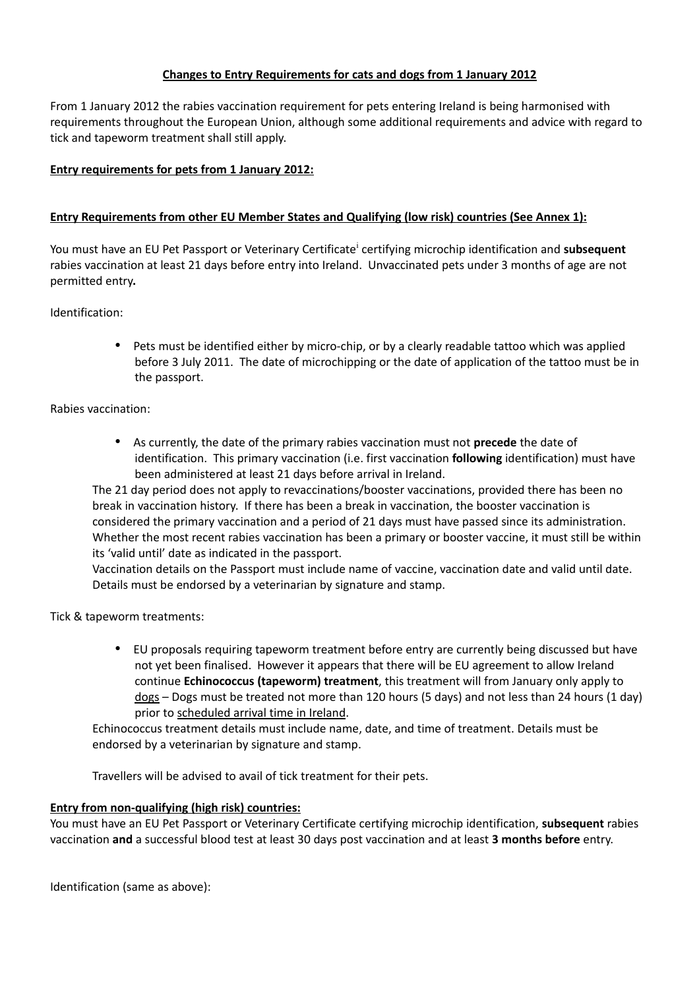# **Changes to Entry Requirements for cats and dogs from 1 January 2012**

From 1 January 2012 the rabies vaccination requirement for pets entering Ireland is being harmonised with requirements throughout the European Union, although some additional requirements and advice with regard to tick and tapeworm treatment shall still apply.

# **Entry requirements for pets from 1 January 2012:**

### **Entry Requirements from other EU Member States and Qualifying (low risk) countries (See Annex 1):**

You must have an EU Pet Passport or Veter[i](#page-4-0)nary Certificate<sup>i</sup> certifying microchip identification and subsequent rabies vaccination at least 21 days before entry into Ireland. Unvaccinated pets under 3 months of age are not permitted entry**.**

Identification:

• Pets must be identified either by micro-chip, or by a clearly readable tattoo which was applied before 3 July 2011. The date of microchipping or the date of application of the tattoo must be in the passport.

Rabies vaccination:

• As currently, the date of the primary rabies vaccination must not **precede** the date of identification. This primary vaccination (i.e. first vaccination **following** identification) must have been administered at least 21 days before arrival in Ireland.

The 21 day period does not apply to revaccinations/booster vaccinations, provided there has been no break in vaccination history. If there has been a break in vaccination, the booster vaccination is considered the primary vaccination and a period of 21 days must have passed since its administration. Whether the most recent rabies vaccination has been a primary or booster vaccine, it must still be within its 'valid until' date as indicated in the passport.

Vaccination details on the Passport must include name of vaccine, vaccination date and valid until date. Details must be endorsed by a veterinarian by signature and stamp.

Tick & tapeworm treatments:

• EU proposals requiring tapeworm treatment before entry are currently being discussed but have not yet been finalised. However it appears that there will be EU agreement to allow Ireland continue **Echinococcus (tapeworm) treatment**, this treatment will from January only apply to dogs – Dogs must be treated not more than 120 hours (5 days) and not less than 24 hours (1 day) prior to scheduled arrival time in Ireland.

Echinococcus treatment details must include name, date, and time of treatment. Details must be endorsed by a veterinarian by signature and stamp.

Travellers will be advised to avail of tick treatment for their pets.

#### **Entry from non-qualifying (high risk) countries:**

You must have an EU Pet Passport or Veterinary Certificate certifying microchip identification, **subsequent** rabies vaccination **and** a successful blood test at least 30 days post vaccination and at least **3 months before** entry.

Identification (same as above):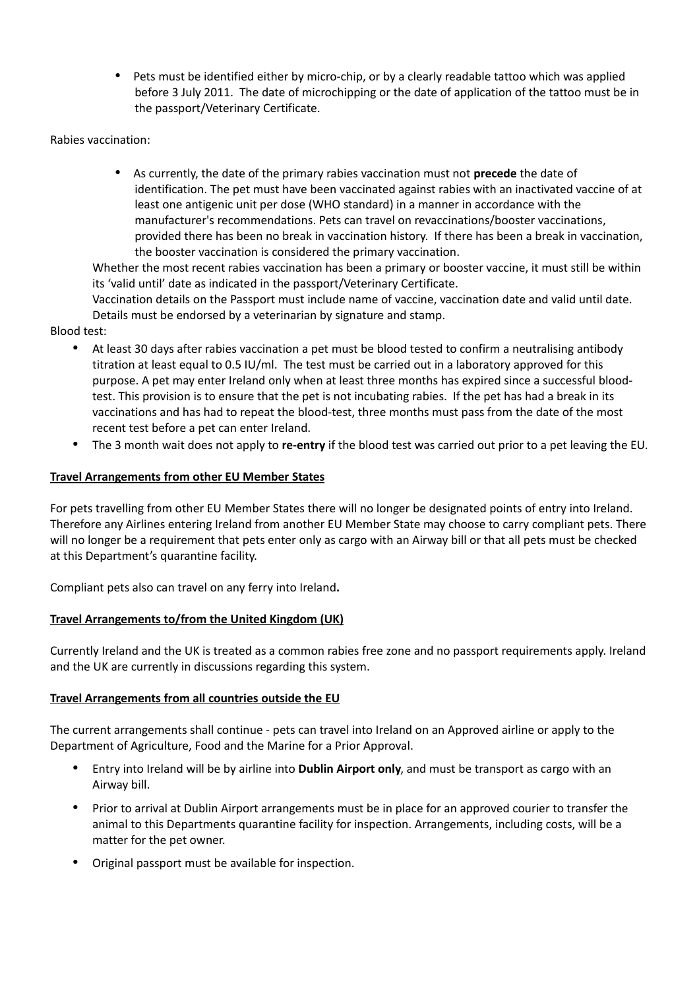• Pets must be identified either by micro-chip, or by a clearly readable tattoo which was applied before 3 July 2011. The date of microchipping or the date of application of the tattoo must be in the passport/Veterinary Certificate.

Rabies vaccination:

• As currently, the date of the primary rabies vaccination must not **precede** the date of identification. The pet must have been vaccinated against rabies with an inactivated vaccine of at least one antigenic unit per dose (WHO standard) in a manner in accordance with the manufacturer's recommendations. Pets can travel on revaccinations/booster vaccinations, provided there has been no break in vaccination history. If there has been a break in vaccination, the booster vaccination is considered the primary vaccination.

Whether the most recent rabies vaccination has been a primary or booster vaccine, it must still be within its 'valid until' date as indicated in the passport/Veterinary Certificate.

Vaccination details on the Passport must include name of vaccine, vaccination date and valid until date. Details must be endorsed by a veterinarian by signature and stamp.

Blood test:

- At least 30 days after rabies vaccination a pet must be blood tested to confirm a neutralising antibody titration at least equal to 0.5 IU/ml. The test must be carried out in a laboratory approved for this purpose. A pet may enter Ireland only when at least three months has expired since a successful bloodtest. This provision is to ensure that the pet is not incubating rabies. If the pet has had a break in its vaccinations and has had to repeat the blood-test, three months must pass from the date of the most recent test before a pet can enter Ireland.
- The 3 month wait does not apply to **re-entry** if the blood test was carried out prior to a pet leaving the EU.

# **Travel Arrangements from other EU Member States**

For pets travelling from other EU Member States there will no longer be designated points of entry into Ireland. Therefore any Airlines entering Ireland from another EU Member State may choose to carry compliant pets. There will no longer be a requirement that pets enter only as cargo with an Airway bill or that all pets must be checked at this Department's quarantine facility.

Compliant pets also can travel on any ferry into Ireland**.**

#### **Travel Arrangements to/from the United Kingdom (UK)**

Currently Ireland and the UK is treated as a common rabies free zone and no passport requirements apply. Ireland and the UK are currently in discussions regarding this system.

#### **Travel Arrangements from all countries outside the EU**

The current arrangements shall continue - pets can travel into Ireland on an Approved airline or apply to the Department of Agriculture, Food and the Marine for a Prior Approval.

- Entry into Ireland will be by airline into **Dublin Airport only**, and must be transport as cargo with an Airway bill.
- Prior to arrival at Dublin Airport arrangements must be in place for an approved courier to transfer the animal to this Departments quarantine facility for inspection. Arrangements, including costs, will be a matter for the pet owner.
- Original passport must be available for inspection.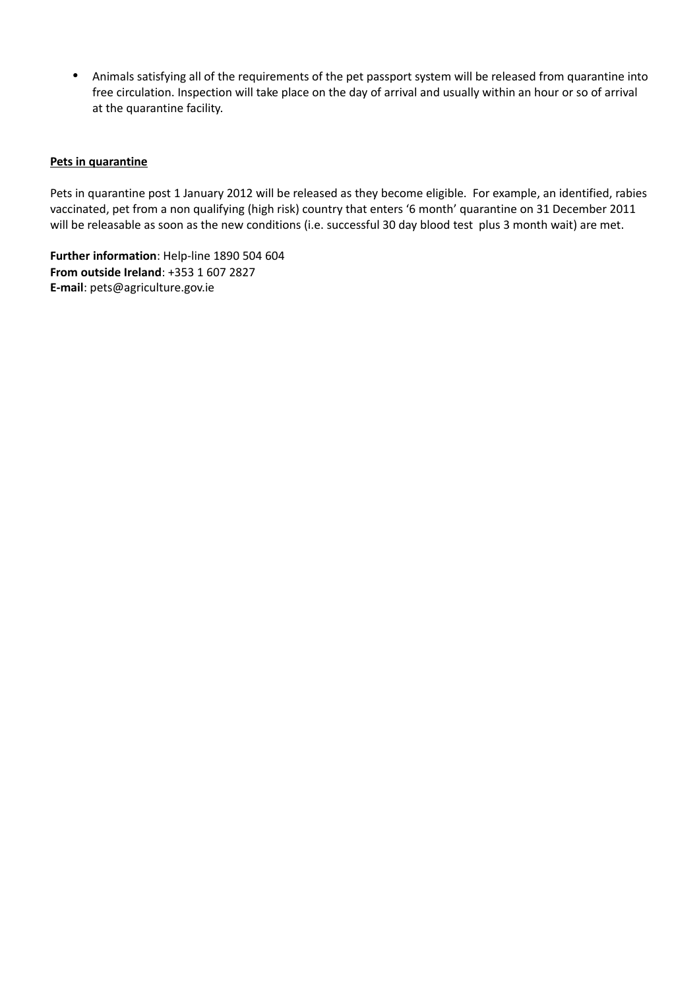• Animals satisfying all of the requirements of the pet passport system will be released from quarantine into free circulation. Inspection will take place on the day of arrival and usually within an hour or so of arrival at the quarantine facility.

#### **Pets in quarantine**

Pets in quarantine post 1 January 2012 will be released as they become eligible. For example, an identified, rabies vaccinated, pet from a non qualifying (high risk) country that enters '6 month' quarantine on 31 December 2011 will be releasable as soon as the new conditions (i.e. successful 30 day blood test plus 3 month wait) are met.

**Further information**: Help-line 1890 504 604 **From outside Ireland**: +353 1 607 2827 **E-mail**: pets@agriculture.gov.ie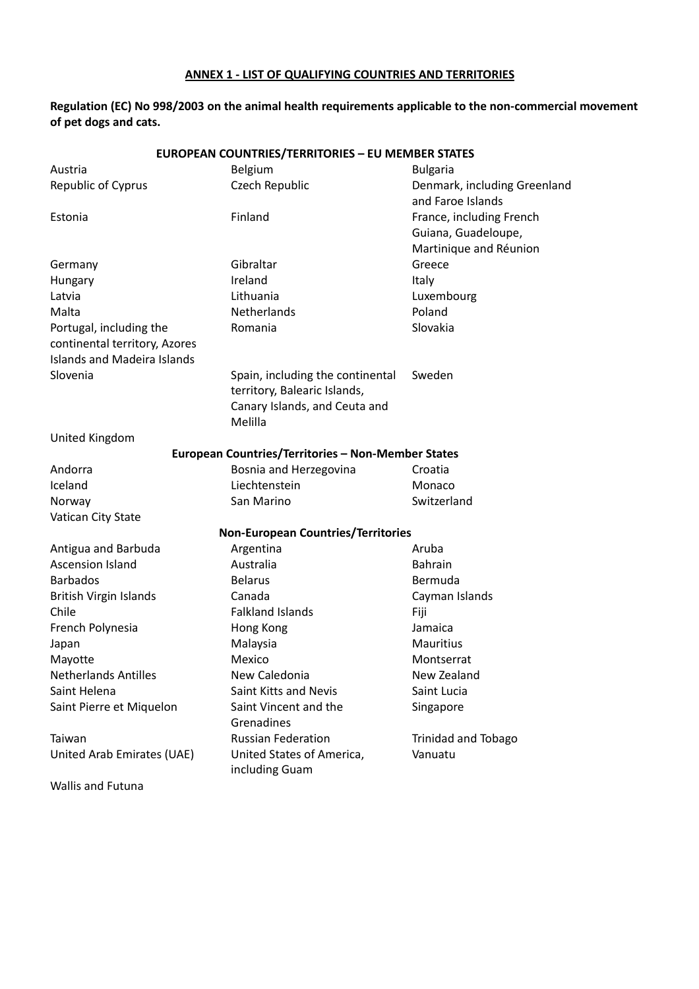## **ANNEX 1 - LIST OF QUALIFYING COUNTRIES AND TERRITORIES**

**Regulation (EC) No 998/2003 on the animal health requirements applicable to the non-commercial movement of pet dogs and cats.**

| <b>EUROPEAN COUNTRIES/TERRITORIES - EU MEMBER STATES</b> |                                                                                                              |                                                                           |
|----------------------------------------------------------|--------------------------------------------------------------------------------------------------------------|---------------------------------------------------------------------------|
| Austria                                                  | Belgium                                                                                                      | <b>Bulgaria</b>                                                           |
| Republic of Cyprus                                       | Czech Republic                                                                                               | Denmark, including Greenland<br>and Faroe Islands                         |
| Estonia                                                  | Finland                                                                                                      | France, including French<br>Guiana, Guadeloupe,<br>Martinique and Réunion |
| Germany                                                  | Gibraltar                                                                                                    | Greece                                                                    |
| Hungary                                                  | Ireland                                                                                                      | Italy                                                                     |
| Latvia                                                   | Lithuania                                                                                                    | Luxembourg                                                                |
| Malta                                                    | Netherlands                                                                                                  | Poland                                                                    |
| Portugal, including the                                  | Romania                                                                                                      | Slovakia                                                                  |
| continental territory, Azores                            |                                                                                                              |                                                                           |
| Islands and Madeira Islands                              |                                                                                                              |                                                                           |
| Slovenia                                                 | Spain, including the continental<br>territory, Balearic Islands,<br>Canary Islands, and Ceuta and<br>Melilla | Sweden                                                                    |
| United Kingdom                                           |                                                                                                              |                                                                           |
|                                                          | European Countries/Territories - Non-Member States                                                           |                                                                           |
| Andorra                                                  | Bosnia and Herzegovina                                                                                       | Croatia                                                                   |
| Iceland                                                  | Liechtenstein                                                                                                | Monaco                                                                    |
| Norway                                                   | San Marino                                                                                                   | Switzerland                                                               |
| Vatican City State                                       |                                                                                                              |                                                                           |
| <b>Non-European Countries/Territories</b>                |                                                                                                              |                                                                           |
| Antigua and Barbuda                                      | Argentina                                                                                                    | Aruba                                                                     |
| <b>Ascension Island</b>                                  | Australia                                                                                                    | <b>Bahrain</b>                                                            |
| <b>Barbados</b>                                          | <b>Belarus</b>                                                                                               | Bermuda                                                                   |
| <b>British Virgin Islands</b>                            | Canada                                                                                                       | Cayman Islands                                                            |
| Chile                                                    | <b>Falkland Islands</b>                                                                                      | Fiji                                                                      |
| French Polynesia                                         | Hong Kong                                                                                                    | Jamaica                                                                   |
| Japan                                                    | Malaysia                                                                                                     | Mauritius                                                                 |
| Mayotte                                                  | Mexico                                                                                                       | Montserrat                                                                |
| <b>Netherlands Antilles</b>                              | New Caledonia                                                                                                | New Zealand                                                               |
| Saint Helena                                             | Saint Kitts and Nevis                                                                                        | Saint Lucia                                                               |
| Saint Pierre et Miquelon                                 | Saint Vincent and the                                                                                        | Singapore                                                                 |
|                                                          | Grenadines                                                                                                   |                                                                           |
| Taiwan                                                   | <b>Russian Federation</b>                                                                                    | <b>Trinidad and Tobago</b>                                                |
| United Arab Emirates (UAE)                               | United States of America,<br>including Guam                                                                  | Vanuatu                                                                   |
| Wallis and Futuna                                        |                                                                                                              |                                                                           |